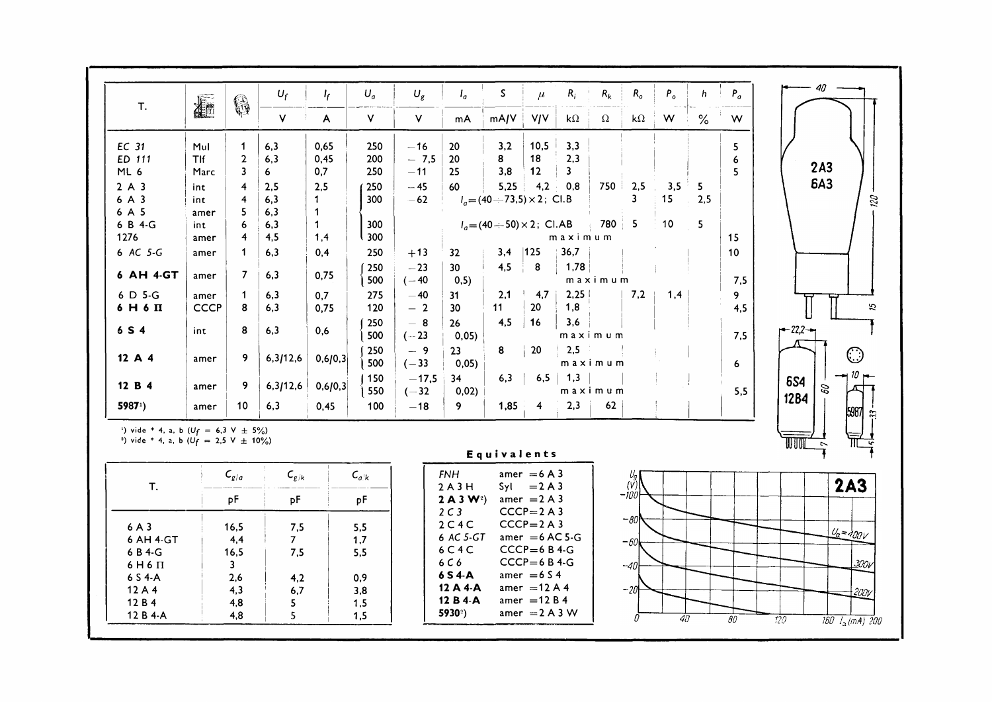| T.                                                       | <b>Alle</b> | 0                       | $U_f$          | $I_f$       | $U_a$     | $U_g$   | $I_q$                           | $\mathsf S$                            | $\mu$                          | $R_i$              | $R_k$    | $R_{o}$       | $P_{o}$ | h    | $P_a$ | 40                    |
|----------------------------------------------------------|-------------|-------------------------|----------------|-------------|-----------|---------|---------------------------------|----------------------------------------|--------------------------------|--------------------|----------|---------------|---------|------|-------|-----------------------|
|                                                          |             |                         | V              | A           | $\vee$    | V       | mA                              | mA/V                                   | <b>V/V</b>                     | $\mathbf{k}\Omega$ | $\Omega$ | k $\Omega$    | W       | $\%$ | W     |                       |
| EC 31                                                    | Mul         | $\mathbf{1}$            | 6,3            | 0,65        | 250       | $-16$   | 20                              | 3,2                                    | 10,5                           | 3,3                |          |               |         |      | 5     |                       |
| ED 111                                                   | TIf         | $\mathbf{2}$            | 6,3            | 0,45        | 200       | $-7.5$  | 20                              | 8                                      | 18                             | 2,3                |          |               |         |      | 6     |                       |
| ML 6                                                     | <b>Marc</b> | $\overline{3}$          | 6.             | 0,7         | 250       | $-11$   | 25                              | 3,8                                    | 12                             | 3                  |          |               |         |      | 5     | 2A3                   |
| 2A3                                                      | int.        | $\overline{4}$          | 2,5            | 2,5         | 250       | $-45$   | 60                              | 5,25                                   | 4,2                            | 0,8                |          | $750 \pm 2,5$ | 3,5     | 5    |       | <b>6A3</b>            |
| 6 A 3                                                    | int         | $\overline{\mathbf{4}}$ | 6,3            | 1.          | 300       | $-62$   |                                 | $I_a = (40 \div 73.5) \times 2$ ; Cl.B |                                |                    |          | 3             | 15      | 2,5  |       |                       |
| 6 A 5                                                    | amer        | 5                       | 6,3            | $\mathbf 1$ |           |         |                                 |                                        |                                |                    |          |               |         |      |       |                       |
| 6 B 4-G                                                  | int.        | 6                       | 6,3            | $\mathbf 1$ | 300       |         |                                 | $I_a = (40 \div 50) \times 2$ ; Cl.AB  |                                |                    | 780 5    |               | 10      | 5    |       |                       |
| 1276                                                     | amer        | $\overline{4}$          | 4,5            | 1,4         | l 300     |         |                                 |                                        |                                | maximum            |          |               |         |      | 15    |                       |
| 6 AC 5-G                                                 | amer        | $\mathbf 1$             | 6,3            | 0,4         | 250       | $+13$   | 32                              | 3,4                                    | 125                            | 36,7               |          |               |         |      | 10    |                       |
|                                                          |             |                         |                |             | 250       | $-23$   | 30 <sub>2</sub>                 | 4.5                                    | 8                              | 1,78               |          |               |         |      |       |                       |
| 6 AH 4-GT                                                | amer        | $\overline{7}$          | 6.3            | 0.75        | 500       | $(-40)$ | 0, 5)                           |                                        |                                |                    | maximum  |               |         |      | 7,5   |                       |
| 6 D 5-G                                                  | amer        | $\mathbf 1$             | 6,3            | 0,7         | 275       | $-40$   | 31                              | 2,1                                    | 4,7                            | 2.25               |          | 7.2           | 1,4     |      | 9     |                       |
| $6H6\Pi$                                                 | <b>CCCP</b> | 8                       | 6,3            | 0,75        | 120       | $-2$    | 30                              | 11                                     | 20                             | 1,8                |          |               |         |      | 4,5   | 51                    |
|                                                          |             |                         |                |             | 250       | $-8$    | 26                              | 4,5                                    | 16                             | 3,6                |          |               |         |      |       |                       |
| 6 S 4                                                    | int         | 8                       | 6,3            | 0,6         | 500       | $(-23)$ | 0,05                            |                                        |                                |                    | maximum  |               |         |      | 7,5   | $-22,2-$              |
|                                                          |             |                         |                |             | 250       | $-9$    | 23                              | 8                                      | 20                             | 2,5                |          |               |         |      |       |                       |
| 12A4                                                     | amer        | 9                       | 6,3/12,6       | 0,6/0,3     | 500       | $(-33)$ | 0,05)                           |                                        |                                |                    | maximum  |               |         |      | 6     | ි                     |
|                                                          |             |                         |                |             | $150$     | $-17,5$ | 34                              | 6,3                                    |                                | $6,5$   1,3        |          |               |         |      |       |                       |
| 12 B 4                                                   | amer        | 9                       | 6,3/12,6       | 0,6/0,3     | 550       | $(-32)$ | 0,02)                           |                                        |                                |                    | maximum  |               |         |      | 5,5   | <b>6S4</b><br>8       |
| 59871)                                                   |             | 10 <sup>°</sup>         | 6,3            |             | 100       |         | 9                               | 1,85                                   | $\overline{4}$                 | 2,3                | 62       |               |         |      |       | <b>12B4</b>           |
|                                                          | amer        |                         |                | 0.45        |           | $-18$   |                                 |                                        |                                |                    |          |               |         |      |       | 5987                  |
| <sup>1</sup> ) vide * 4, a, b ( $U_f = 6.3$ V $\pm$ 5%)  |             |                         |                |             |           |         |                                 |                                        |                                |                    |          |               |         |      |       |                       |
| <sup>2</sup> ) vide * 4, a, b ( $U_f = 2.5$ V $\pm$ 10%) |             |                         |                |             |           |         |                                 | Equivalents                            |                                |                    |          |               |         |      |       | WUU<br>$\overline{ }$ |
|                                                          |             | $C_{g/a}$               | $C_{g/k}$      |             | $C_{a'k}$ |         | <b>FNH</b>                      |                                        | amer = $6A3$                   |                    |          | Uq            |         |      |       |                       |
| T.                                                       |             |                         |                |             |           |         | 2A3H                            |                                        | $Syl = 2A3$                    |                    |          | (V)           |         |      |       | <b>2A3</b>            |
|                                                          |             | pF                      | pF             |             | pF        |         | 2 A 3 W <sup>2</sup>            |                                        | amer = $2A3$                   |                    |          | $-100$        |         |      |       |                       |
|                                                          |             |                         |                |             |           |         | 2C3                             |                                        | $CCCP = 2A3$                   |                    |          |               |         |      |       |                       |
| 6A3                                                      |             | 16,5                    | 7,5            |             | 5,5       |         | 2C4C                            |                                        | $CCCP = 2A3$                   |                    |          | $-80$         |         |      |       |                       |
| 6 AH 4-GT                                                |             | 4,4                     | 7 <sup>7</sup> |             | 1,7       |         | 6 AC 5-GT                       |                                        | amer = $6$ AC 5-G              |                    |          | $-60$         |         |      |       | $U_{a} = 400V$        |
| 6 B 4-G                                                  |             | 16,5                    | 7,5            |             | 5,5       |         | 6C4C                            |                                        | $CCCP = 6B4-G$                 |                    |          |               |         |      |       |                       |
| $6H6\Pi$                                                 |             | $\mathbf{3}$            |                |             |           |         | 6C6                             |                                        | $CCCP = 6B4-G$                 |                    |          | $-40$         |         |      |       | <u>3</u> 00V          |
| 6 S 4-A                                                  |             | 2,6                     | 4,2            |             | 0,9       |         | 6 S 4-A                         |                                        | amer = $6S4$                   |                    |          |               |         |      |       |                       |
| 12 A 4                                                   |             | 4,3                     | 6.7            |             | 3,8       |         | $12A4-A$                        |                                        | amer = $12A4$                  |                    |          | $-20$         |         |      |       | 200V                  |
| 12 B 4                                                   |             | 4,8                     | 5              |             | 1,5       |         | 12 B 4-A<br>5930 <sup>°</sup> ) |                                        | amer = $12B4$<br>amer = $2A3W$ |                    |          |               |         |      |       |                       |
| 12 B 4-A                                                 |             | 4.8                     | 5              |             | 1,5       |         |                                 |                                        |                                |                    |          |               |         |      |       |                       |